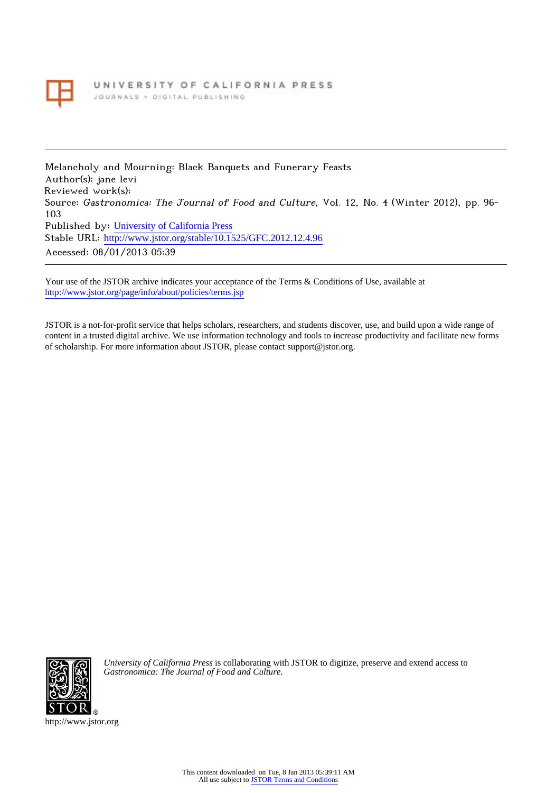

Melancholy and Mourning: Black Banquets and Funerary Feasts Author(s): jane levi Reviewed work(s): Source: Gastronomica: The Journal of Food and Culture, Vol. 12, No. 4 (Winter 2012), pp. 96- 103 Published by: [University of California Press](http://www.jstor.org/action/showPublisher?publisherCode=ucal) Stable URL: [http://www.jstor.org/stable/10.1525/GFC.2012.12.4.96](http://www.jstor.org/stable/10.1525/GFC.2012.12.4.96?origin=JSTOR-pdf) . Accessed: 08/01/2013 05:39

Your use of the JSTOR archive indicates your acceptance of the Terms & Conditions of Use, available at <http://www.jstor.org/page/info/about/policies/terms.jsp>

JSTOR is a not-for-profit service that helps scholars, researchers, and students discover, use, and build upon a wide range of content in a trusted digital archive. We use information technology and tools to increase productivity and facilitate new forms of scholarship. For more information about JSTOR, please contact support@jstor.org.



*University of California Press* is collaborating with JSTOR to digitize, preserve and extend access to *Gastronomica: The Journal of Food and Culture.*

http://www.jstor.org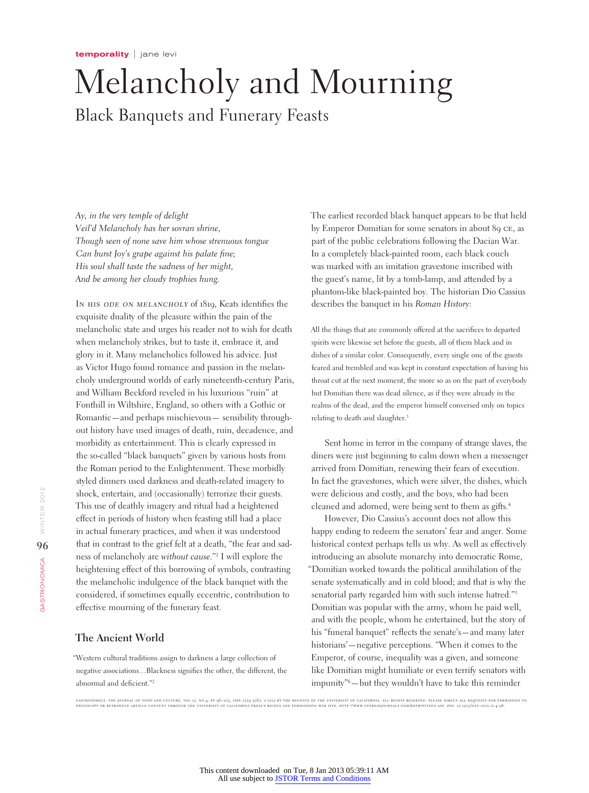# Melancholy and Mourning Black Banquets and Funerary Feasts

*Ay, in the very temple of delight Veil'd Melancholy has her sovran shrine, Though seen of none save him whose strenuous tongue Can burst Joy's grape against his palate fine; His soul shall taste the sadness of her might, And be among her cloudy trophies hung.*

IN HIS ODE ON MELANCHOLY of 1819, Keats identifies the exquisite duality of the pleasure within the pain of the melancholic state and urges his reader not to wish for death when melancholy strikes, but to taste it, embrace it, and glory in it. Many melancholics followed his advice. Just as Victor Hugo found romance and passion in the melancholy underground worlds of early nineteenth-century Paris, and William Beckford reveled in his luxurious "ruin" at Fonthill in Wiltshire, England, so others with a Gothic or Romantic—and perhaps mischievous— sensibility throughout history have used images of death, ruin, decadence, and morbidity as entertainment. This is clearly expressed in the so-called "black banquets" given by various hosts from the Roman period to the Enlightenment. These morbidly styled dinners used darkness and death-related imagery to shock, entertain, and (occasionally) terrorize their guests. This use of deathly imagery and ritual had a heightened effect in periods of history when feasting still had a place in actual funerary practices, and when it was understood that in contrast to the grief felt at a death, "the fear and sadness of melancholy are *without cause*."1 I will explore the heightening effect of this borrowing of symbols, contrasting the melancholic indulgence of the black banquet with the considered, if sometimes equally eccentric, contribution to effective mourning of the funerary feast.

# **The Ancient World**

"Western cultural traditions assign to darkness a large collection of negative associations…Blackness signifies the other, the different, the abnormal and deficient."<sup>2</sup>

The earliest recorded black banquet appears to be that held by Emperor Domitian for some senators in about 89 CE, as part of the public celebrations following the Dacian War. In a completely black-painted room, each black couch was marked with an imitation gravestone inscribed with the guest's name, lit by a tomb-lamp, and attended by a phantom-like black-painted boy. The historian Dio Cassius describes the banquet in his *Roman History*:

All the things that are commonly offered at the sacrifices to departed spirits were likewise set before the guests, all of them black and in dishes of a similar color. Consequently, every single one of the guests feared and trembled and was kept in constant expectation of having his throat cut at the next moment, the more so as on the part of everybody but Domitian there was dead silence, as if they were already in the realms of the dead, and the emperor himself conversed only on topics relating to death and slaughter. 3

Sent home in terror in the company of strange slaves, the diners were just beginning to calm down when a messenger arrived from Domitian, renewing their fears of execution. In fact the gravestones, which were silver, the dishes, which were delicious and costly, and the boys, who had been cleaned and adorned, were being sent to them as gifts. 4

However, Dio Cassius's account does not allow this happy ending to redeem the senators' fear and anger. Some historical context perhaps tells us why. As well as effectively introducing an absolute monarchy into democratic Rome, "Domitian worked towards the political annihilation of the senate systematically and in cold blood; and that is why the senatorial party regarded him with such intense hatred."<sup>5</sup> Domitian was popular with the army, whom he paid well, and with the people, whom he entertained, but the story of his "funeral banquet" reflects the senate's—and many later historians'—negative perceptions. "When it comes to the Emperor, of course, inequality was a given, and someone like Domitian might humiliate or even terrify senators with impunity"6—but they wouldn't have to take this reminder

gastronomica: the journal of food and culture, vol.12, no.4, pp.96–103, issn 1529-3262. *©* 2012 by the regents of the university of california. all rights reserved. please direct all requests for permission to photocopy or reproduce article content through the university of california press's rights and permissions web site, http://www.ucpressjournals.com/reprintinfo.asp. doi: 10.1525/gfc.2012.12.4.96.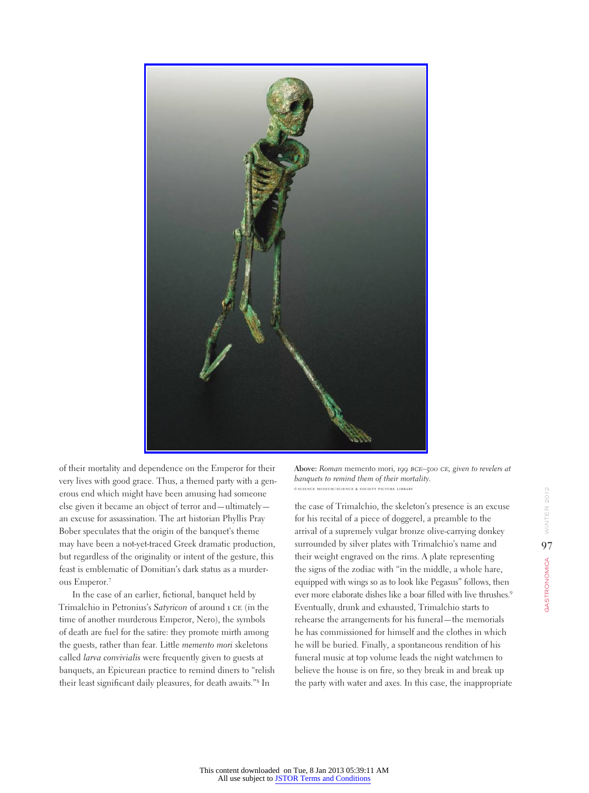

of their mortality and dependence on the Emperor for their very lives with good grace. Thus, a themed party with a generous end which might have been amusing had someone else given it became an object of terror and—ultimately an excuse for assassination. The art historian Phyllis Pray Bober speculates that the origin of the banquet's theme may have been a not-yet-traced Greek dramatic production, but regardless of the originality or intent of the gesture, this feast is emblematic of Domitian's dark status as a murderous Emperor. 7

In the case of an earlier, fictional, banquet held by Trimalchio in Petronius's *Satyricon* of around 1 ce (in the time of another murderous Emperor, Nero), the symbols of death are fuel for the satire: they promote mirth among the guests, rather than fear. Little *memento mori* skeletons called *larva convivialis* were frequently given to guests at banquets, an Epicurean practice to remind diners to "relish their least significant daily pleasures, for death awaits."8 In

**Above:** *Roman* memento mori*, 199* bce*–500* ce*, given to revelers at banquets to remind them of their mortality.* **©** science museum **/** science **&** society picture library

the case of Trimalchio, the skeleton's presence is an excuse for his recital of a piece of doggerel, a preamble to the arrival of a supremely vulgar bronze olive-carrying donkey surrounded by silver plates with Trimalchio's name and their weight engraved on the rims. A plate representing the signs of the zodiac with "in the middle, a whole hare, equipped with wings so as to look like Pegasus" follows, then ever more elaborate dishes like a boar filled with live thrushes. 9 Eventually, drunk and exhausted, Trimalchio starts to rehearse the arrangements for his funeral—the memorials he has commissioned for himself and the clothes in which he will be buried. Finally, a spontaneous rendition of his funeral music at top volume leads the night watchmen to believe the house is on fire, so they break in and break up the party with water and axes. In this case, the inappropriate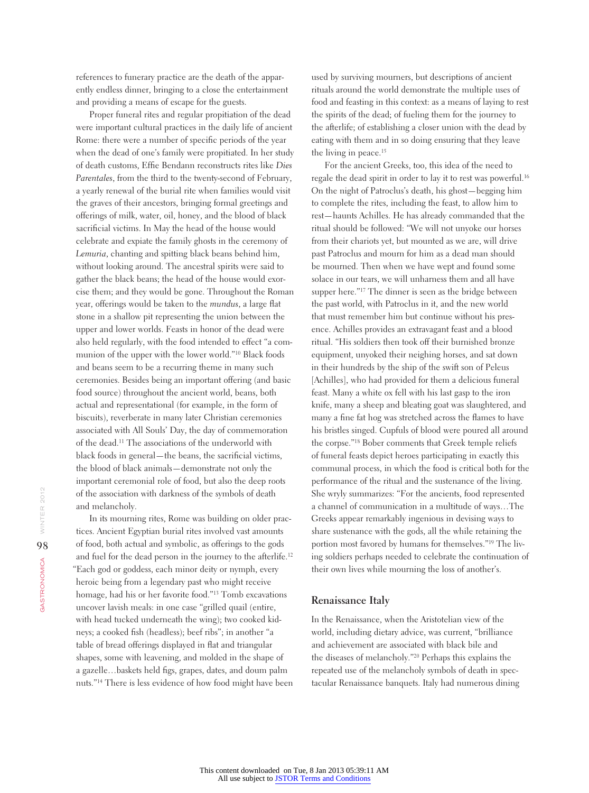references to funerary practice are the death of the apparently endless dinner, bringing to a close the entertainment and providing a means of escape for the guests.

Proper funeral rites and regular propitiation of the dead were important cultural practices in the daily life of ancient Rome: there were a number of specific periods of the year when the dead of one's family were propitiated. In her study of death customs, Effie Bendann reconstructs rites like *Dies Parentales*, from the third to the twenty-second of February, a yearly renewal of the burial rite when families would visit the graves of their ancestors, bringing formal greetings and offerings of milk, water, oil, honey, and the blood of black sacrificial victims. In May the head of the house would celebrate and expiate the family ghosts in the ceremony of *Lemuria*, chanting and spitting black beans behind him, without looking around. The ancestral spirits were said to gather the black beans; the head of the house would exorcise them; and they would be gone. Throughout the Roman year, offerings would be taken to the *mundus*, a large flat stone in a shallow pit representing the union between the upper and lower worlds. Feasts in honor of the dead were also held regularly, with the food intended to effect "a communion of the upper with the lower world."10 Black foods and beans seem to be a recurring theme in many such ceremonies. Besides being an important offering (and basic food source) throughout the ancient world, beans, both actual and representational (for example, in the form of biscuits), reverberate in many later Christian ceremonies associated with All Souls' Day, the day of commemoration of the dead. <sup>11</sup> The associations of the underworld with black foods in general—the beans, the sacrificial victims, the blood of black animals—demonstrate not only the important ceremonial role of food, but also the deep roots of the association with darkness of the symbols of death and melancholy.

In its mourning rites, Rome was building on older practices. Ancient Egyptian burial rites involved vast amounts of food, both actual and symbolic, as offerings to the gods and fuel for the dead person in the journey to the afterlife. 12 "Each god or goddess, each minor deity or nymph, every heroic being from a legendary past who might receive homage, had his or her favorite food."13 Tomb excavations uncover lavish meals: in one case "grilled quail (entire, with head tucked underneath the wing); two cooked kidneys; a cooked fish (headless); beef ribs"; in another "a table of bread offerings displayed in flat and triangular shapes, some with leavening, and molded in the shape of a gazelle…baskets held figs, grapes, dates, and doum palm nuts."14 There is less evidence of how food might have been used by surviving mourners, but descriptions of ancient rituals around the world demonstrate the multiple uses of food and feasting in this context: as a means of laying to rest the spirits of the dead; of fueling them for the journey to the afterlife; of establishing a closer union with the dead by eating with them and in so doing ensuring that they leave the living in peace. 15

For the ancient Greeks, too, this idea of the need to regale the dead spirit in order to lay it to rest was powerful. 16 On the night of Patroclus's death, his ghost—begging him to complete the rites, including the feast, to allow him to rest—haunts Achilles. He has already commanded that the ritual should be followed: "We will not unyoke our horses from their chariots yet, but mounted as we are, will drive past Patroclus and mourn for him as a dead man should be mourned. Then when we have wept and found some solace in our tears, we will unharness them and all have supper here."<sup>17</sup> The dinner is seen as the bridge between the past world, with Patroclus in it, and the new world that must remember him but continue without his presence. Achilles provides an extravagant feast and a blood ritual. "His soldiers then took off their burnished bronze equipment, unyoked their neighing horses, and sat down in their hundreds by the ship of the swift son of Peleus [Achilles], who had provided for them a delicious funeral feast. Many a white ox fell with his last gasp to the iron knife, many a sheep and bleating goat was slaughtered, and many a fine fat hog was stretched across the flames to have his bristles singed. Cupfuls of blood were poured all around the corpse."18 Bober comments that Greek temple reliefs of funeral feasts depict heroes participating in exactly this communal process, in which the food is critical both for the performance of the ritual and the sustenance of the living. She wryly summarizes: "For the ancients, food represented a channel of communication in a multitude of ways…The Greeks appear remarkably ingenious in devising ways to share sustenance with the gods, all the while retaining the portion most favored by humans for themselves."19 The living soldiers perhaps needed to celebrate the continuation of their own lives while mourning the loss of another's.

#### **Renaissance Italy**

In the Renaissance, when the Aristotelian view of the world, including dietary advice, was current, "brilliance and achievement are associated with black bile and the diseases of melancholy."20 Perhaps this explains the repeated use of the melancholy symbols of death in spectacular Renaissance banquets. Italy had numerous dining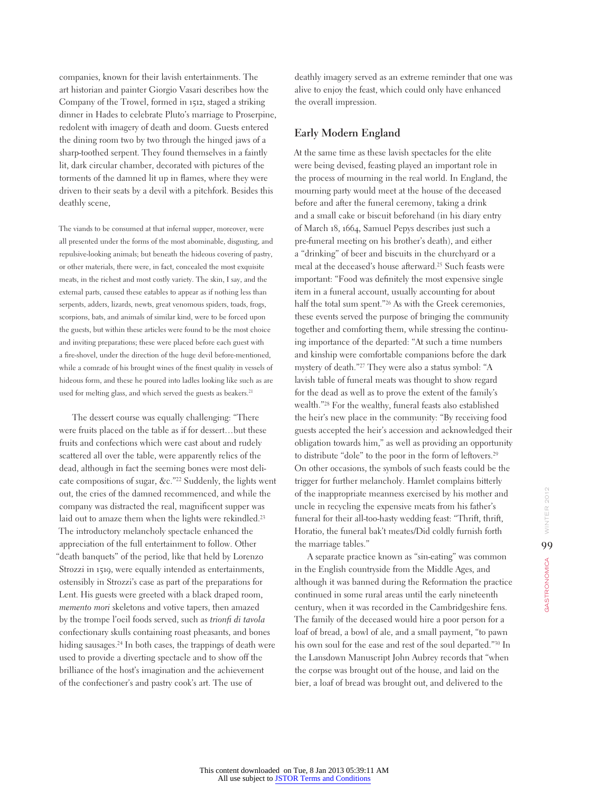companies, known for their lavish entertainments. The art historian and painter Giorgio Vasari describes how the Company of the Trowel, formed in 1512, staged a striking dinner in Hades to celebrate Pluto's marriage to Proserpine, redolent with imagery of death and doom. Guests entered the dining room two by two through the hinged jaws of a sharp-toothed serpent. They found themselves in a faintly lit, dark circular chamber, decorated with pictures of the torments of the damned lit up in flames, where they were driven to their seats by a devil with a pitchfork. Besides this deathly scene,

The viands to be consumed at that infernal supper, moreover, were all presented under the forms of the most abominable, disgusting, and repulsive-looking animals; but beneath the hideous covering of pastry, or other materials, there were, in fact, concealed the most exquisite meats, in the richest and most costly variety. The skin, I say, and the external parts, caused these eatables to appear as if nothing less than serpents, adders, lizards, newts, great venomous spiders, toads, frogs, scorpions, bats, and animals of similar kind, were to be forced upon the guests, but within these articles were found to be the most choice and inviting preparations; these were placed before each guest with a fire-shovel, under the direction of the huge devil before-mentioned, while a comrade of his brought wines of the finest quality in vessels of hideous form, and these he poured into ladles looking like such as are used for melting glass, and which served the guests as beakers. 21

The dessert course was equally challenging: "There were fruits placed on the table as if for dessert…but these fruits and confections which were cast about and rudely scattered all over the table, were apparently relics of the dead, although in fact the seeming bones were most delicate compositions of sugar, &c."22 Suddenly, the lights went out, the cries of the damned recommenced, and while the company was distracted the real, magnificent supper was laid out to amaze them when the lights were rekindled. 23 The introductory melancholy spectacle enhanced the appreciation of the full entertainment to follow. Other "death banquets" of the period, like that held by Lorenzo Strozzi in 1519, were equally intended as entertainments, ostensibly in Strozzi's case as part of the preparations for Lent. His guests were greeted with a black draped room, *memento mori* skeletons and votive tapers, then amazed by the trompe l'oeil foods served, such as *trionfi di tavola* confectionary skulls containing roast pheasants, and bones hiding sausages. <sup>24</sup> In both cases, the trappings of death were used to provide a diverting spectacle and to show off the brilliance of the host's imagination and the achievement of the confectioner's and pastry cook's art. The use of

deathly imagery served as an extreme reminder that one was alive to enjoy the feast, which could only have enhanced the overall impression.

### **Early Modern England**

At the same time as these lavish spectacles for the elite were being devised, feasting played an important role in the process of mourning in the real world. In England, the mourning party would meet at the house of the deceased before and after the funeral ceremony, taking a drink and a small cake or biscuit beforehand (in his diary entry of March 18, 1664, Samuel Pepys describes just such a pre-funeral meeting on his brother's death), and either a "drinking" of beer and biscuits in the churchyard or a meal at the deceased's house afterward. <sup>25</sup> Such feasts were important: "Food was definitely the most expensive single item in a funeral account, usually accounting for about half the total sum spent."26 As with the Greek ceremonies, these events served the purpose of bringing the community together and comforting them, while stressing the continuing importance of the departed: "At such a time numbers and kinship were comfortable companions before the dark mystery of death."27 They were also a status symbol: "A lavish table of funeral meats was thought to show regard for the dead as well as to prove the extent of the family's wealth."28 For the wealthy, funeral feasts also established the heir's new place in the community: "By receiving food guests accepted the heir's accession and acknowledged their obligation towards him," as well as providing an opportunity to distribute "dole" to the poor in the form of leftovers. 29 On other occasions, the symbols of such feasts could be the trigger for further melancholy. Hamlet complains bitterly of the inappropriate meanness exercised by his mother and uncle in recycling the expensive meats from his father's funeral for their all-too-hasty wedding feast: "Thrift, thrift, Horatio, the funeral bak't meates/Did coldly furnish forth the marriage tables."

A separate practice known as "sin-eating" was common in the English countryside from the Middle Ages, and although it was banned during the Reformation the practice continued in some rural areas until the early nineteenth century, when it was recorded in the Cambridgeshire fens. The family of the deceased would hire a poor person for a loaf of bread, a bowl of ale, and a small payment, "to pawn his own soul for the ease and rest of the soul departed."30 In the Lansdown Manuscript John Aubrey records that "when the corpse was brought out of the house, and laid on the bier, a loaf of bread was brought out, and delivered to the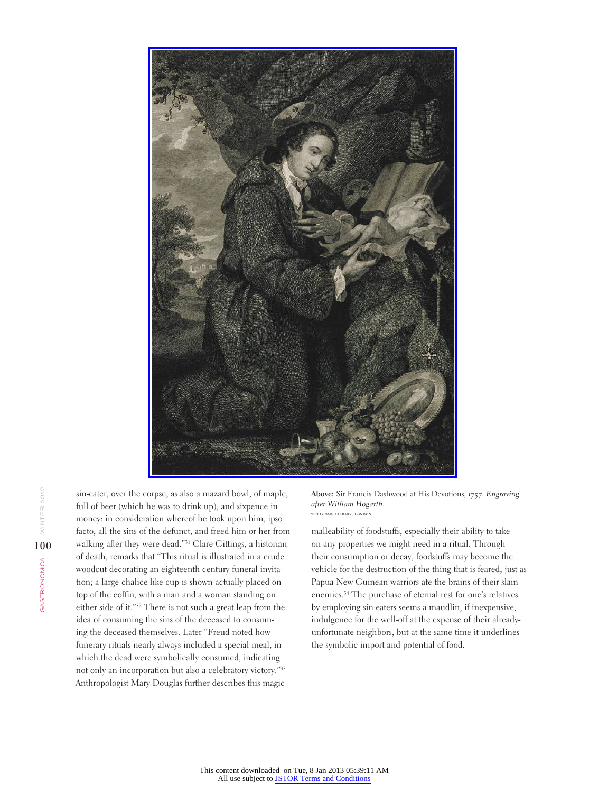

sin-eater, over the corpse, as also a mazard bowl, of maple, full of beer (which he was to drink up), and sixpence in money: in consideration whereof he took upon him, ipso facto, all the sins of the defunct, and freed him or her from walking after they were dead."31 Clare Gittings, a historian of death, remarks that "This ritual is illustrated in a crude woodcut decorating an eighteenth century funeral invitation; a large chalice-like cup is shown actually placed on top of the coffin, with a man and a woman standing on either side of it."32 There is not such a great leap from the idea of consuming the sins of the deceased to consuming the deceased themselves. Later "Freud noted how funerary rituals nearly always included a special meal, in which the dead were symbolically consumed, indicating not only an incorporation but also a celebratory victory."<sup>33</sup> Anthropologist Mary Douglas further describes this magic

**Above:** Sir Francis Dashwood at His Devotions*, 1757. Engraving after William Hogarth.* wellcome library, london

malleability of foodstuffs, especially their ability to take on any properties we might need in a ritual. Through their consumption or decay, foodstuffs may become the vehicle for the destruction of the thing that is feared, just as Papua New Guinean warriors ate the brains of their slain enemies. <sup>34</sup> The purchase of eternal rest for one's relatives by employing sin-eaters seems a maudlin, if inexpensive, indulgence for the well-off at the expense of their alreadyunfortunate neighbors, but at the same time it underlines the symbolic import and potential of food.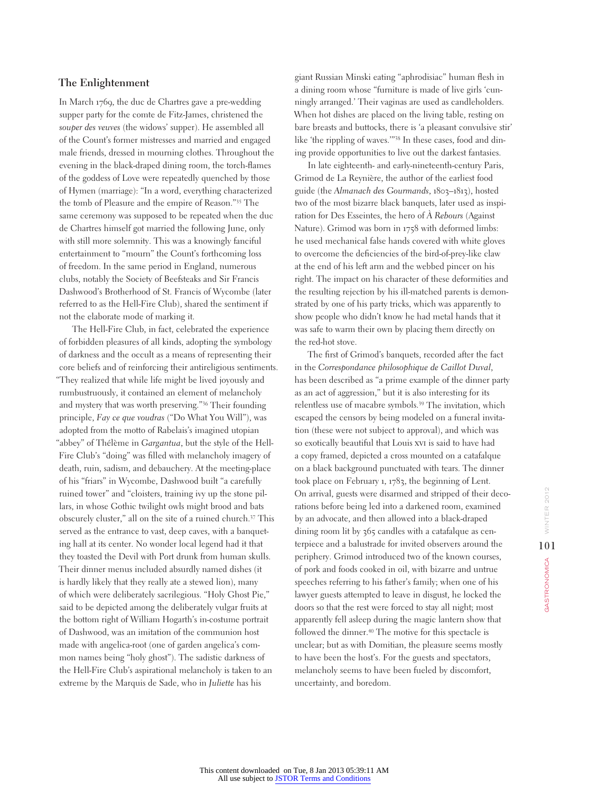# **The Enlightenment**

In March 1769, the duc de Chartres gave a pre-wedding supper party for the comte de Fitz-James, christened the *souper des veuves* (the widows' supper). He assembled all of the Count's former mistresses and married and engaged male friends, dressed in mourning clothes. Throughout the evening in the black-draped dining room, the torch-flames of the goddess of Love were repeatedly quenched by those of Hymen (marriage): "In a word, everything characterized the tomb of Pleasure and the empire of Reason."35 The same ceremony was supposed to be repeated when the duc de Chartres himself got married the following June, only with still more solemnity. This was a knowingly fanciful entertainment to "mourn" the Count's forthcoming loss of freedom. In the same period in England, numerous clubs, notably the Society of Beefsteaks and Sir Francis Dashwood's Brotherhood of St. Francis of Wycombe (later referred to as the Hell-Fire Club), shared the sentiment if not the elaborate mode of marking it.

The Hell-Fire Club, in fact, celebrated the experience of forbidden pleasures of all kinds, adopting the symbology of darkness and the occult as a means of representing their core beliefs and of reinforcing their antireligious sentiments. "They realized that while life might be lived joyously and rumbustruously, it contained an element of melancholy and mystery that was worth preserving."36 Their founding principle, *Fay ce que voudras* ("Do What You Will"), was adopted from the motto of Rabelais's imagined utopian "abbey" of Thélème in *Gargantua*, but the style of the Hell-Fire Club's "doing" was filled with melancholy imagery of death, ruin, sadism, and debauchery. At the meeting-place of his "friars" in Wycombe, Dashwood built "a carefully ruined tower" and "cloisters, training ivy up the stone pillars, in whose Gothic twilight owls might brood and bats obscurely cluster," all on the site of a ruined church. <sup>37</sup> This served as the entrance to vast, deep caves, with a banqueting hall at its center. No wonder local legend had it that they toasted the Devil with Port drunk from human skulls. Their dinner menus included absurdly named dishes (it is hardly likely that they really ate a stewed lion), many of which were deliberately sacrilegious. "Holy Ghost Pie," said to be depicted among the deliberately vulgar fruits at the bottom right of William Hogarth's in-costume portrait of Dashwood, was an imitation of the communion host made with angelica-root (one of garden angelica's common names being "holy ghost"). The sadistic darkness of the Hell-Fire Club's aspirational melancholy is taken to an extreme by the Marquis de Sade, who in *Juliette* has his

giant Russian Minski eating "aphrodisiac" human flesh in a dining room whose "furniture is made of live girls 'cunningly arranged.' Their vaginas are used as candleholders. When hot dishes are placed on the living table, resting on bare breasts and buttocks, there is 'a pleasant convulsive stir' like 'the rippling of waves.'"38 In these cases, food and dining provide opportunities to live out the darkest fantasies.

In late eighteenth- and early-nineteenth-century Paris, Grimod de La Reynière, the author of the earliest food guide (the *Almanach des Gourmands*, 1803–1813), hosted two of the most bizarre black banquets, later used as inspiration for Des Esseintes, the hero of *À Rebours* (Against Nature). Grimod was born in 1758 with deformed limbs: he used mechanical false hands covered with white gloves to overcome the deficiencies of the bird-of-prey-like claw at the end of his left arm and the webbed pincer on his right. The impact on his character of these deformities and the resulting rejection by his ill-matched parents is demonstrated by one of his party tricks, which was apparently to show people who didn't know he had metal hands that it was safe to warm their own by placing them directly on the red-hot stove.

The first of Grimod's banquets, recorded after the fact in the *Correspondance philosophique de Caillot Duval*, has been described as "a prime example of the dinner party as an act of aggression," but it is also interesting for its relentless use of macabre symbols. <sup>39</sup> The invitation, which escaped the censors by being modeled on a funeral invitation (these were not subject to approval), and which was so exotically beautiful that Louis xvi is said to have had a copy framed, depicted a cross mounted on a catafalque on a black background punctuated with tears. The dinner took place on February 1, 1783, the beginning of Lent. On arrival, guests were disarmed and stripped of their decorations before being led into a darkened room, examined by an advocate, and then allowed into a black-draped dining room lit by 365 candles with a catafalque as centerpiece and a balustrade for invited observers around the periphery. Grimod introduced two of the known courses, of pork and foods cooked in oil, with bizarre and untrue speeches referring to his father's family; when one of his lawyer guests attempted to leave in disgust, he locked the doors so that the rest were forced to stay all night; most apparently fell asleep during the magic lantern show that followed the dinner. <sup>40</sup> The motive for this spectacle is unclear; but as with Domitian, the pleasure seems mostly to have been the host's. For the guests and spectators, melancholy seems to have been fueled by discomfort, uncertainty, and boredom.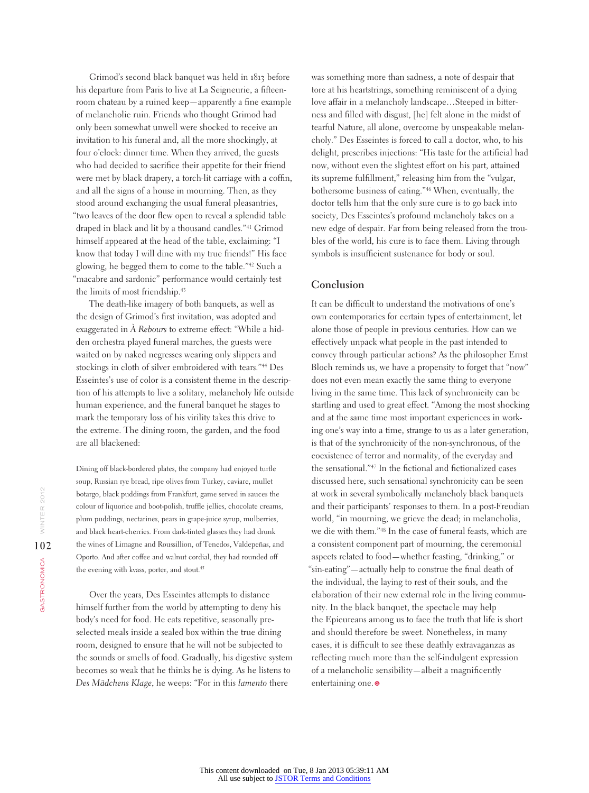Grimod's second black banquet was held in 1813 before his departure from Paris to live at La Seigneurie, a fifteenroom chateau by a ruined keep—apparently a fine example of melancholic ruin. Friends who thought Grimod had only been somewhat unwell were shocked to receive an invitation to his funeral and, all the more shockingly, at four o'clock: dinner time. When they arrived, the guests who had decided to sacrifice their appetite for their friend were met by black drapery, a torch-lit carriage with a coffin, and all the signs of a house in mourning. Then, as they stood around exchanging the usual funeral pleasantries, "two leaves of the door flew open to reveal a splendid table draped in black and lit by a thousand candles."41 Grimod himself appeared at the head of the table, exclaiming: "I know that today I will dine with my true friends!" His face glowing, he begged them to come to the table."42 Such a "macabre and sardonic" performance would certainly test the limits of most friendship. 43

The death-like imagery of both banquets, as well as the design of Grimod's first invitation, was adopted and exaggerated in *À Rebours* to extreme effect: "While a hidden orchestra played funeral marches, the guests were waited on by naked negresses wearing only slippers and stockings in cloth of silver embroidered with tears."44 Des Esseintes's use of color is a consistent theme in the description of his attempts to live a solitary, melancholy life outside human experience, and the funeral banquet he stages to mark the temporary loss of his virility takes this drive to the extreme. The dining room, the garden, and the food are all blackened:

Dining off black-bordered plates, the company had enjoyed turtle soup, Russian rye bread, ripe olives from Turkey, caviare, mullet botargo, black puddings from Frankfurt, game served in sauces the colour of liquorice and boot-polish, truffle jellies, chocolate creams, plum puddings, nectarines, pears in grape-juice syrup, mulberries, and black heart-cherries. From dark-tinted glasses they had drunk the wines of Limagne and Roussillion, of Tenedos, Valdepeñas, and Oporto. And after coffee and walnut cordial, they had rounded off the evening with kvass, porter, and stout. 45

Over the years, Des Esseintes attempts to distance himself further from the world by attempting to deny his body's need for food. He eats repetitive, seasonally preselected meals inside a sealed box within the true dining room, designed to ensure that he will not be subjected to the sounds or smells of food. Gradually, his digestive system becomes so weak that he thinks he is dying. As he listens to *Des Mädchens Klage*, he weeps: "For in this *lamento* there

was something more than sadness, a note of despair that tore at his heartstrings, something reminiscent of a dying love affair in a melancholy landscape…Steeped in bitterness and filled with disgust, [he] felt alone in the midst of tearful Nature, all alone, overcome by unspeakable melancholy." Des Esseintes is forced to call a doctor, who, to his delight, prescribes injections: "His taste for the artificial had now, without even the slightest effort on his part, attained its supreme fulfillment," releasing him from the "vulgar, bothersome business of eating."46 When, eventually, the doctor tells him that the only sure cure is to go back into society, Des Esseintes's profound melancholy takes on a new edge of despair. Far from being released from the troubles of the world, his cure is to face them. Living through symbols is insufficient sustenance for body or soul.

# **Conclusion**

It can be difficult to understand the motivations of one's own contemporaries for certain types of entertainment, let alone those of people in previous centuries. How can we effectively unpack what people in the past intended to convey through particular actions? As the philosopher Ernst Bloch reminds us, we have a propensity to forget that "now" does not even mean exactly the same thing to everyone living in the same time. This lack of synchronicity can be startling and used to great effect. "Among the most shocking and at the same time most important experiences in working one's way into a time, strange to us as a later generation, is that of the synchronicity of the non-synchronous, of the coexistence of terror and normality, of the everyday and the sensational."47 In the fictional and fictionalized cases discussed here, such sensational synchronicity can be seen at work in several symbolically melancholy black banquets and their participants' responses to them. In a post-Freudian world, "in mourning, we grieve the dead; in melancholia, we die with them."48 In the case of funeral feasts, which are a consistent component part of mourning, the ceremonial aspects related to food—whether feasting, "drinking," or "sin-eating"—actually help to construe the final death of the individual, the laying to rest of their souls, and the elaboration of their new external role in the living community. In the black banquet, the spectacle may help the Epicureans among us to face the truth that life is short and should therefore be sweet. Nonetheless, in many cases, it is difficult to see these deathly extravaganzas as reflecting much more than the self-indulgent expression of a melancholic sensibility—albeit a magnificently entertaining one.<sup>·</sup>